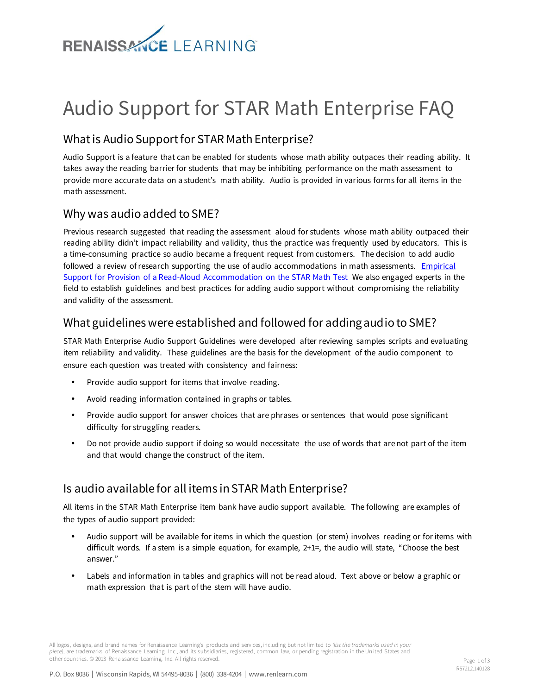

# Audio Support for STAR Math Enterprise FAQ

#### What is Audio Support for STAR Math Enterprise?

Audio Support is a feature that can be enabled for students whose math ability outpaces their reading ability. It takes away the reading barrier for students that may be inhibiting performance on the math assessment to provide more accurate data on a student's math ability. Audio is provided in various forms for all items in the math assessment.

## Why was audio added to SME?

Previous research suggested that reading the assessment aloud for students whose math ability outpaced their reading ability didn't impact reliability and validity, thus the practice was frequently used by educators. This is a time-consuming practice so audio became a frequent request from customers. The decision to add audio followed a review of research supporting the use of audio accommodations in math assessments. Empirical [Support for Provision of a Read-Aloud Accommodation on the STAR Math Test](http://doc.renlearn.com/KMNet/R00572010F7C28AC.pdf) We also engaged experts in the field to establish guidelines and best practices for adding audio support without compromising the reliability and validity of the assessment.

### What guidelines were established and followed for adding audio to SME?

STAR Math Enterprise Audio Support Guidelines were developed after reviewing samples scripts and evaluating item reliability and validity. These guidelines are the basis for the development of the audio component to ensure each question was treated with consistency and fairness:

- Provide audio support for items that involve reading.
- Avoid reading information contained in graphs or tables.
- Provide audio support for answer choices that are phrases or sentences that would pose significant difficulty for struggling readers.
- Do not provide audio support if doing so would necessitate the use of words that are not part of the item and that would change the construct of the item.

### Is audio available for all items in STAR Math Enterprise?

All items in the STAR Math Enterprise item bank have audio support available. The following are examples of the types of audio support provided:

- Audio support will be available for items in which the question (or stem) involves reading or for items with difficult words. If a stem is a simple equation, for example, 2+1=, the audio will state, "Choose the best answer."
- Labels and information in tables and graphics will not be read aloud. Text above or below a graphic or math expression that is part of the stem will have audio.

All logos, designs, and brand names for Renaissance Learning's products and services, including but not limited to *(list the trademarks used in your piece)*, are trademarks of Renaissance Learning, Inc., and its subsidiaries, registered, common law, or pending registration in the Un ited States and other countries*.* © 2013 Renaissance Learning, Inc. All rights reserved.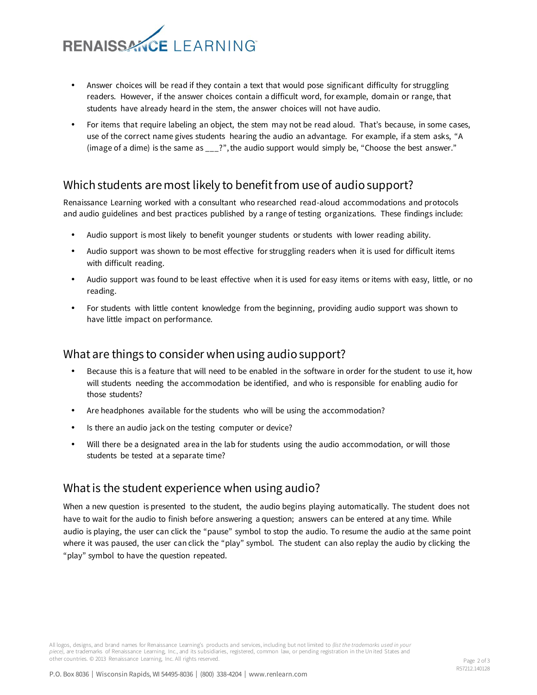

- Answer choices will be read if they contain a text that would pose significant difficulty for struggling readers. However, if the answer choices contain a difficult word, for example, domain or range, that students have already heard in the stem, the answer choices will not have audio.
- For items that require labeling an object, the stem may not be read aloud. That's because, in some cases, use of the correct name gives students hearing the audio an advantage. For example, if a stem asks, "A (image of a dime) is the same as \_\_\_?", the audio support would simply be, "Choose the best answer."

#### Which students are most likely to benefit from use of audio support?

Renaissance Learning worked with a consultant who researched read-aloud accommodations and protocols and audio guidelines and best practices published by a range of testing organizations. These findings include:

- Audio support is most likely to benefit younger students or students with lower reading ability.
- Audio support was shown to be most effective for struggling readers when it is used for difficult items with difficult reading.
- Audio support was found to be least effective when it is used for easy items or items with easy, little, or no reading.
- For students with little content knowledge from the beginning, providing audio support was shown to have little impact on performance.

#### What are things to consider when using audio support?

- Because this is a feature that will need to be enabled in the software in order for the student to use it, how will students needing the accommodation be identified, and who is responsible for enabling audio for those students?
- Are headphones available for the students who will be using the accommodation?
- Is there an audio jack on the testing computer or device?
- Will there be a designated area in the lab for students using the audio accommodation, or will those students be tested at a separate time?

#### What is the student experience when using audio?

When a new question is presented to the student, the audio begins playing automatically. The student does not have to wait for the audio to finish before answering a question; answers can be entered at any time. While audio is playing, the user can click the "pause" symbol to stop the audio. To resume the audio at the same point where it was paused, the user can click the "play" symbol. The student can also replay the audio by clicking the "play" symbol to have the question repeated.

All logos, designs, and brand names for Renaissance Learning's products and services, including but not limited to *(list the trademarks used in your piece)*, are trademarks of Renaissance Learning, Inc., and its subsidiaries, registered, common law, or pending registration in the Un ited States and other countries*.* © 2013 Renaissance Learning, Inc. All rights reserved.